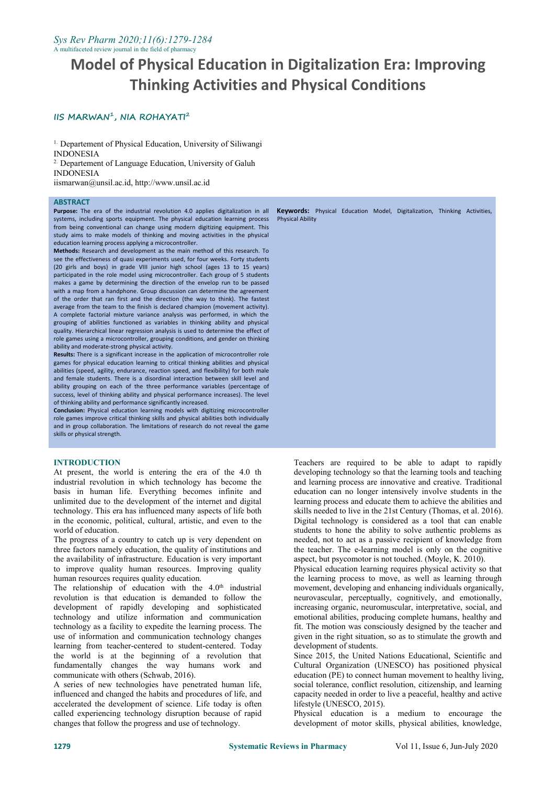# **Model of Physical Education in Digitalization Era: Improving Thinking Activities and Physical Conditions**

## **IIS MARWAN 1 , NIA ROHAYATI<sup>2</sup>**

<sup>1.</sup> Departement of Physical Education, University of Siliwangi INDONESIA

<sup>2.</sup> Departement of Language Education, University of Galuh INDONESIA

iismarwan@unsil.ac.id, http://www.unsil.ac.id

#### **ABSTRACT**

**Purpose:** The era of the industrial revolution 4.0 applies digitalization in all systems, including sports equipment. The physical education learning process from being conventional can change using modern digitizing equipment. This study aims to make models of thinking and moving activities in the physical education learning process applying a microcontroller.

**Methods:** Research and development as the main method of this research. To see the effectiveness of quasi experiments used, for four weeks. Forty students (20 girls and boys) in grade VIII junior high school (ages 13 to 15 years) participated in the role model using microcontroller. Each group of 5 students makes a game by determining the direction of the envelop run to be passed with a map from a handphone. Group discussion can determine the agreement of the order that ran first and the direction (the way to think). The fastest average from the team to the finish is declared champion (movement activity). A complete factorial mixture variance analysis was performed, in which the grouping of abilities functioned as variables in thinking ability and physical quality. Hierarchical linear regression analysis is used to determine the effect of role games using a microcontroller, grouping conditions, and gender on thinking ability and moderate-strong physical activity.

**Results:** There is a significant increase in the application of microcontroller role games for physical education learning to critical thinking abilities and physical abilities (speed, agility, endurance, reaction speed, and flexibility) for both male and female students. There is a disordinal interaction between skill level and ability grouping on each of the three performance variables (percentage of success, level of thinking ability and physical performance increases). The level of thinking ability and performance significantly increased.

**Conclusion:** Physical education learning models with digitizing microcontroller role games improve critical thinking skills and physical abilities both individually and in group collaboration. The limitations of research do not reveal the game skills or physical strength.

#### **INTRODUCTION**

At present, the world is entering the era of the 4.0 th industrial revolution in which technology has become the basis in human life. Everything becomes infinite and unlimited due to the development of the internet and digital technology. This era has influenced many aspects of life both in the economic, political, cultural, artistic, and even to the world of education.

The progress of a country to catch up is very dependent on three factors namely education, the quality of institutions and the availability of infrastructure. Education is very important to improve quality human resources. Improving quality human resources requires quality education.

The relationship of education with the  $4.0<sup>th</sup>$  industrial momon revolution is that education is demanded to follow the development of rapidly developing and sophisticated technology and utilize information and communication technology as a facility to expedite the learning process. The use of information and communication technology changes learning from teacher-centered to student-centered. Today the world is at the beginning of a revolution that fundamentally changes the way humans work and communicate with others (Schwab, 2016).

A series of new technologies have penetrated human life, influenced and changed the habits and procedures of life, and accelerated the development of science. Life today is often called experiencing technology disruption because of rapid changes that follow the progress and use of technology.

**Keywords:** Physical Education Model, Digitalization, Thinking Activities, Physical Ability

Teachers are required to be able to adapt to rapidly developing technology so that the learning tools and teaching and learning process are innovative and creative. Traditional education can no longer intensively involve students in the learning process and educate them to achieve the abilities and skills needed to live in the 21st Century (Thomas, et al. 2016). Digital technology is considered as a tool that can enable students to hone the ability to solve authentic problems as needed, not to act as a passive recipient of knowledge from the teacher. The e-learning model is only on the cognitive aspect, but psycomotor is not touched. (Moyle, K. 2010).

Physical education learning requires physical activity so that the learning process to move, as well as learning through movement, developing and enhancing individuals organically, neurovascular, perceptually, cognitively, and emotionally, increasing organic, neuromuscular, interpretative, social, and emotional abilities, producing complete humans, healthy and fit. The motion was consciously designed by the teacher and given in the right situation, so as to stimulate the growth and development of students.

Since 2015, the United Nations Educational, Scientific and Cultural Organization (UNESCO) has positioned physical education (PE) to connect human movement to healthy living, social tolerance, conflict resolution, citizenship, and learning capacity needed in order to live a peaceful, healthy and active lifestyle (UNESCO, 2015).

Physical education is a medium to encourage the development of motor skills, physical abilities, knowledge,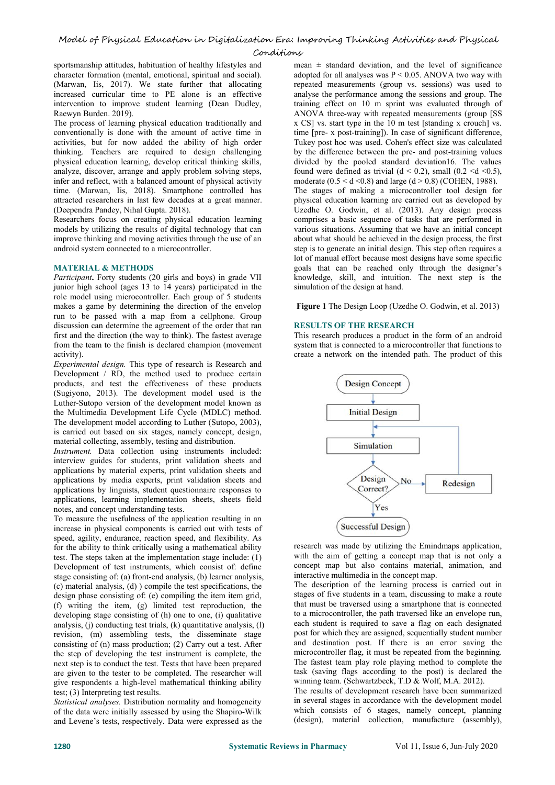sportsmanship attitudes, habituation of healthy lifestyles and character formation (mental, emotional, spiritual and social). (Marwan, Iis, 2017). We state further that allocating increased curricular time to PE alone is an effective intervention to improve student learning (Dean Dudley, Raewyn Burden. 2019).

The process of learning physical education traditionally and conventionally is done with the amount of active time in activities, but for now added the ability of high order thinking. Teachers are required to design challenging physical education learning, develop critical thinking skills, analyze, discover, arrange and apply problem solving steps, infer and reflect, with a balanced amount of physical activity time. (Marwan, Iis, 2018). Smartphone controlled has attracted researchers in last few decades at a great manner. (Deependra Pandey, Nihal Gupta. 2018).

Researchers focus on creating physical education learning models by utilizing the results of digital technology that can improve thinking and moving activities through the use of an android system connected to a microcontroller.

## **MATERIAL & METHODS**

*Participant***.** Forty students (20 girls and boys) in grade VII junior high school (ages 13 to 14 years) participated in the role model using microcontroller. Each group of 5 students makes a game by determining the direction of the envelop run to be passed with a map from a cellphone. Group discussion can determine the agreement of the order that ran first and the direction (the way to think). The fastest average from the team to the finish is declared champion (movement activity).

*Experimental design.* This type of research is Research and Development / RD, the method used to produce certain products, and test the effectiveness of these products (Sugiyono, 2013). The development model used is the Luther-Sutopo version of the development model known as the Multimedia Development Life Cycle (MDLC) method. The development model according to Luther (Sutopo, 2003), is carried out based on six stages, namely concept, design, material collecting, assembly, testing and distribution.

*Instrument.* Data collection using instruments included: interview guides for students, print validation sheets and applications by material experts, print validation sheets and applications by media experts, print validation sheets and applications by linguists, student questionnaire responses to applications, learning implementation sheets, sheets field notes, and concept understanding tests.

To measure the usefulness of the application resulting in an  $\overline{\text{increase}}$  in the useful Design increase in physical components is carried out with tests of increase in physical components is carried out with tests of speed, agility, endurance, reaction speed, and flexibility. As for the ability to think critically using a mathematical ability test. The steps taken at the implementation stage include: (1) Development of test instruments, which consist of: define stage consisting of: (a) front-end analysis, (b) learner analysis,  $(c)$  material analysis,  $(d)$ ) compile the test specifications, the design phase consisting of: (e) compiling the item item grid, (f) writing the item, (g) limited test reproduction, the developing stage consisting of (h) one to one, (i) qualitative analysis, (j) conducting test trials, (k) quantitative analysis, (l) revision, (m) assembling tests, the disseminate stage consisting of (n) mass production; (2) Carry out a test. After the step of developing the test instrument is complete, the next step is to conduct the test. Tests that have been prepared are given to the tester to be completed. The researcher will give respondents a high-level mathematical thinking ability test; (3) Interpreting test results.

*Statistical analyses.* Distribution normality and homogeneity of the data were initially assessed by using the Shapiro-Wilk and Levene's tests, respectively. Data were expressed as the

mean  $\pm$  standard deviation, and the level of significance adopted for all analyses was  $P < 0.05$ . ANOVA two way with repeated measurements (group vs. sessions) was used to analyse the performance among the sessions and group. The training effect on 10 m sprint was evaluated through of ANOVA three-way with repeated measurements (group [SS x CS] vs. start type in the 10 m test [standing x crouch] vs. time [pre- x post-training]). In case of significant difference, Tukey post hoc was used. Cohen's effect size was calculated by the difference between the pre-and post-training values divided by the pooled standard deviation16. The values found were defined as trivial  $(d < 0.2)$ , small  $(0.2 < d < 0.5)$ , moderate  $(0.5 < d < 0.8)$  and large  $(d > 0.8)$  (COHEN, 1988). The stages of making a microcontroller tool design for physical education learning are carried out as developed by Uzedhe O. Godwin, et al. (2013). Any design process comprises a basic sequence of tasks that are performed in various situations. Assuming that we have an initial concept about what should be achieved in the design process, the first step is to generate an initial design. This step often requires a lot of manual effort because most designs have some specific goals that can be reached only through the designer's knowledge, skill, and intuition. The next step is the simulation of the design at hand.

**Figure 1** The Design Loop (Uzedhe O. Godwin, et al. 2013)

## **RESULTS OF THE RESEARCH**

This research produces a product in the form of an android system that is connected to a microcontroller that functions to create a network on the intended path. The product of this



research was made by utilizing the Emindmaps application, with the aim of getting a concept map that is not only a concept map but also contains material, animation, and interactive multimedia in the concept map.

The description of the learning process is carried out in stages of five students in a team, discussing to make a route that must be traversed using a smartphone that is connected to a microcontroller, the path traversed like an envelope run, each student is required to save a flag on each designated post for which they are assigned, sequentially student number and destination post. If there is an error saving the microcontroller flag, it must be repeated from the beginning. The fastest team play role playing method to complete the task (saving flags according to the post) is declared the winning team. (Schwartzbeck, T.D & Wolf, M.A. 2012).

The results of development research have been summarized in several stages in accordance with the development model which consists of 6 stages, namely concept, planning (design), material collection, manufacture (assembly),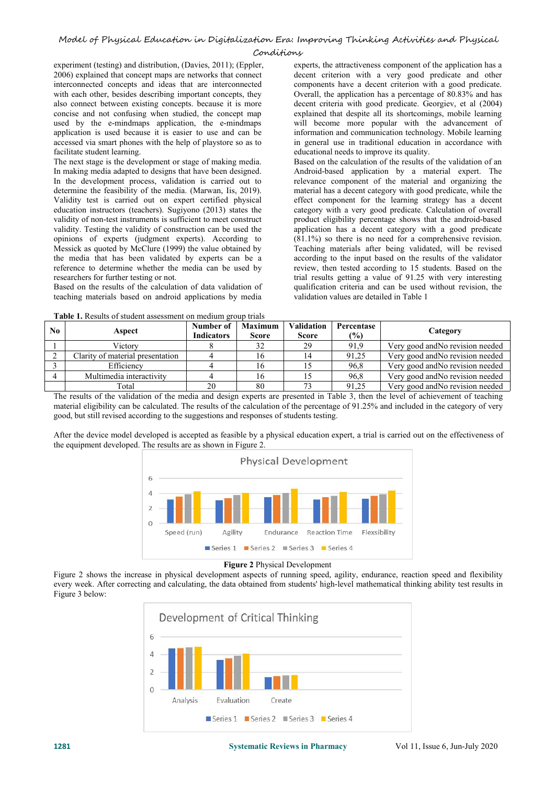experiment (testing) and distribution, (Davies, 2011); (Eppler, 2006) explained that concept maps are networks that connect interconnected concepts and ideas that are interconnected with each other, besides describing important concepts, they also connect between existing concepts. because it is more concise and not confusing when studied, the concept map used by the e-mindmaps application, the e-mindmaps application is used because it is easier to use and can be accessed via smart phones with the help of playstore so as to facilitate student learning.

The next stage is the development or stage of making media. In making media adapted to designs that have been designed. In the development process, validation is carried out to determine the feasibility of the media. (Marwan, Iis, 2019). Validity test is carried out on expert certified physical education instructors (teachers). Sugiyono (2013) states the validity of non-test instruments is sufficient to meet construct validity. Testing the validity of construction can be used the opinions of experts (judgment experts). According to Messick as quoted by McClure (1999) the value obtained by the media that has been validated by experts can be a reference to determine whether the media can be used by researchers for further testing or not.

Based on the results of the calculation of data validation of teaching materials based on android applications by media

**Table 1.** Results of student assessment on medium group trials

experts, the attractiveness component of the application has a decent criterion with a very good predicate and other components have a decent criterion with a good predicate. Overall, the application has a percentage of 80.83% and has decent criteria with good predicate. Georgiev, et al (2004) explained that despite all its shortcomings, mobile learning will become more popular with the advancement of information and communication technology. Mobile learning in general use in traditional education in accordance with educational needs to improve its quality.

Based on the calculation of the results of the validation of an Android-based application by a material expert. The relevance component of the material and organizing the material has a decent category with good predicate, while the effect component for the learning strategy has a decent category with a very good predicate. Calculation of overall product eligibility percentage shows that the android-based application has a decent category with a good predicate (81.1%) so there is no need for a comprehensive revision. Teaching materials after being validated, will be revised according to the input based on the results of the validator review, then tested according to 15 students. Based on the trial results getting a value of 91.25 with very interesting qualification criteria and can be used without revision, the validation values are detailed in Table 1

| N <sub>0</sub> | Aspect                           | Number of         | <b>Maximum</b> | <b>Validation</b> | Percentase    | Category                         |
|----------------|----------------------------------|-------------------|----------------|-------------------|---------------|----------------------------------|
|                |                                  | <b>Indicators</b> | <b>Score</b>   | <b>Score</b>      | $\frac{6}{2}$ |                                  |
|                | Victorv                          |                   |                | 29                | 91.9          | Very good and No revision needed |
|                | Clarity of material presentation |                   | 16.            |                   | 91,25         | Very good and No revision needed |
|                | Efficiency                       |                   | 10             |                   | 96,8          | Very good and No revision needed |
|                | Multimedia interactivity         |                   | . O            |                   | 96,8          | Very good and No revision needed |
|                | Total                            | 20                | 80             |                   | 91,25         | Very good and No revision needed |

The results of the validation of the media and design experts are presented in Table 3, then the level of achievement of teaching material eligibility can be calculated. The results of the calculation of the percentage of 91.25% and included in the category of very good, but still revised according to the suggestions and responses of students testing.

After the device model developed is accepted as feasible by a physical education expert, a trial is carried out on the effectiveness of the equipment developed. The results are as shown in Figure 2.



**Figure 2** Physical Development

Figure 2 shows the increase in physical development aspects of running speed, agility, endurance, reaction speed and flexibility every week. After correcting and calculating, the data obtained from students' high-level mathematical thinking ability test results in Figure 3 below:

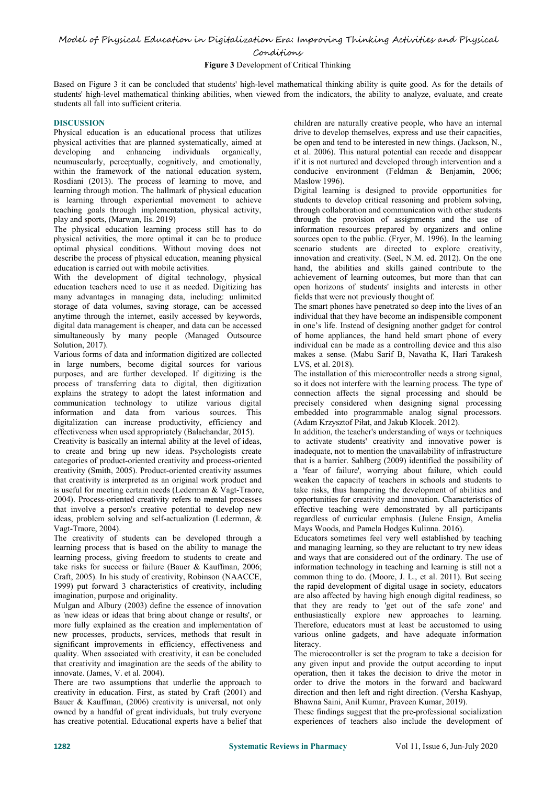# Model of Physical Education in Digitalization Era: Improving Thinking Activities and Physical Conditions

## **Figure 3** Development of Critical Thinking

Based on Figure 3 it can be concluded that students' high-level mathematical thinking ability is quite good. As for the details of students' high-level mathematical thinking abilities, when viewed from the indicators, the ability to analyze, evaluate, and create students all fall into sufficient criteria.

## **DISCUSSION**

Physical education is an educational process that utilizes physical activities that are planned systematically, aimed at developing and enhancing individuals organically, neumuscularly, perceptually, cognitively, and emotionally, within the framework of the national education system, Rosdiani (2013). The process of learning to move, and learning through motion. The hallmark of physical education is learning through experiential movement to achieve teaching goals through implementation, physical activity, play and sports, (Marwan, Iis. 2019)

The physical education learning process still has to do physical activities, the more optimal it can be to produce optimal physical conditions. Without moving does not describe the process of physical education, meaning physical education is carried out with mobile activities.

With the development of digital technology, physical education teachers need to use it as needed. Digitizing has many advantages in managing data, including: unlimited storage of data volumes, saving storage, can be accessed anytime through the internet, easily accessed by keywords, digital data management is cheaper, and data can be accessed simultaneously by many people (Managed Outsource Solution, 2017).

Various forms of data and information digitized are collected in large numbers, become digital sources for various purposes, and are further developed. If digitizing is the process of transferring data to digital, then digitization explains the strategy to adopt the latest information and communication technology to utilize various digital information and data from various sources. This digitalization can increase productivity, efficiency and effectiveness when used appropriately (Balachandar, 2015).

Creativity is basically an internal ability at the level of ideas, to create and bring up new ideas. Psychologists create categories of product-oriented creativity and process-oriented creativity (Smith, 2005). Product-oriented creativity assumes that creativity is interpreted as an original work product and is useful for meeting certain needs (Lederman & Vagt-Traore, 2004). Process-oriented creativity refers to mental processes opportunities for creativity and innovation. Characteristics of that involve a person's creative potential to develop new ideas, problem solving and self-actualization (Lederman, & Vagt-Traore, 2004).

The creativity of students can be developed through a learning process that is based on the ability to manage the learning process, giving freedom to students to create and take risks for success or failure (Bauer & Kauffman, 2006; Craft, 2005). In his study of creativity, Robinson (NAACCE, 1999) put forward 3 characteristics of creativity, including imagination, purpose and originality.<br>Mulgan and Albury (2003) define the essence of innovation

as 'new ideas or ideas that bring about change or results', or more fully explained as the creation and implementation of new processes, products, services, methods that result in significant improvements in efficiency, effectiveness and quality. When associated with creativity, it can be concluded that creativity and imagination are the seeds of the ability to innovate. (James, V. et al. 2004).

There are two assumptions that underlie the approach to creativity in education. First, as stated by Craft (2001) and Bauer & Kauffman, (2006) creativity is universal, not only owned by a handful of great individuals, but truly everyone has creative potential. Educational experts have a belief that

children are naturally creative people, who have an internal drive to develop themselves, express and use their capacities, be open and tend to be interested in new things. (Jackson, N., et al. 2006). This natural potential can recede and disappear if it is not nurtured and developed through intervention and a conducive environment (Feldman & Benjamin, 2006; Maslow 1996).

Digital learning is designed to provide opportunities for students to develop critical reasoning and problem solving, through collaboration and communication with other students through the provision of assignments and the use of information resources prepared by organizers and online sources open to the public. (Fryer, M. 1996). In the learning scenario students are directed to explore creativity, innovation and creativity. (Seel, N.M. ed. 2012). On the one hand, the abilities and skills gained contribute to the achievement of learning outcomes, but more than that can open horizons of students' insights and interests in other fields that were not previously thought of.

The smart phones have penetrated so deep into the lives of an individual that they have become an indispensible component in one's life. Instead of designing another gadget for control of home appliances, the hand held smart phone of every individual can be made as a controlling device and this also makes a sense. (Mabu Sarif B, Navatha K, Hari Tarakesh LVS, et al. 2018).

The installation of this microcontroller needs a strong signal, so it does not interfere with the learning process. The type of connection affects the signal processing and should be precisely considered when designing signal processing embedded into programmable analog signal processors. (Adam Krzysztof Piłat, and Jakub Klocek. 2012).

In addition, the teacher's understanding of ways or techniques to activate students' creativity and innovative power is inadequate, not to mention the unavailability of infrastructure that is a barrier. Sahlberg (2009) identified the possibility of a 'fear of failure', worrying about failure, which could weaken the capacity of teachers in schools and students to take risks, thus hampering the development of abilities and effective teaching were demonstrated by all participants regardless of curricular emphasis. (Julene Ensign, Amelia Mays Woods, and Pamela Hodges Kulinna. 2016).

Educators sometimes feel very well established by teaching and managing learning, so they are reluctant to try new ideas and ways that are considered out of the ordinary. The use of information technology in teaching and learning is still not a common thing to do. (Moore, J. L., et al. 2011). But seeing the rapid development of digital usage in society, educators are also affected by having high enough digital readiness, so that they are ready to 'get out of the safe zone'and enthusiastically explore new approaches to learning. Therefore, educators must at least be accustomed to using various online gadgets, and have adequate information literacy.

The microcontroller is set the program to take a decision for any given input and provide the output according to input operation, then it takes the decision to drive the motor in order to drive the motors in the forward and backward direction and then left and right direction. (Versha Kashyap, Bhawna Saini, Anil Kumar, Praveen Kumar, 2019).

These findings suggest that the pre-professional socialization experiences of teachers also include the development of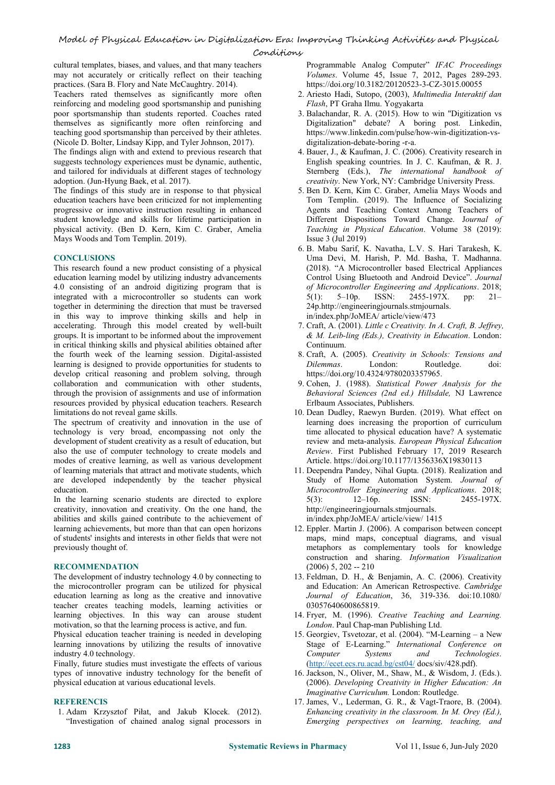cultural templates, biases, and values, and that many teachers may not accurately or critically reflect on their teaching practices. (Sara B. Flory and Nate McCaughtry. 2014).

Teachers rated themselves as significantly more often reinforcing and modeling good sportsmanship and punishing poor sportsmanship than students reported. Coaches rated themselves as significantly more often reinforcing and teaching good sportsmanship than perceived by their athletes. (Nicole D. Bolter, Lindsay Kipp, and Tyler Johnson, 2017).

The findings align with and extend to previous research that suggests technology experiences must be dynamic, authentic, and tailored for individuals at different stages of technology adoption. (Jun-Hyung Baek, et al.2017).

The findings of this study are in response to that physical education teachers have been criticized for not implementing progressive or innovative instruction resulting in enhanced student knowledge and skills for lifetime participation in physical activity. (Ben D. Kern, Kim C. Graber, Amelia Mays Woods and Tom Templin. 2019).

## **CONCLUSIONS**

This research found a new product consisting of a physical education learning model by utilizing industry advancements 4.0 consisting of an android digitizing program that is integrated with a microcontroller so students can work 5(1): 5-10p. together in determining the direction that must be traversed in this way to improve thinking skills and help in accelerating. Through this model created by well-built groups. It is important to be informed about the improvement in critical thinking skills and physical abilities obtained after the fourth week of the learning session. Digital-assisted learning is designed to provide opportunities for students to *Dilemmas*. develop critical reasoning and problem solving, through collaboration and communication with other students, through the provision of assignments and use of information resources provided by physical education teachers. Research limitations do not reveal game skills.

The spectrum of creativity and innovation in the use of technology is very broad, encompassing not only the development of student creativity as a result of education, but also the use of computer technology to create models and modes of creative learning, as well as various development of learning materials that attract and motivate students, which are developed independently by the teacher physical education.

In the learning scenario students are directed to explore  $5(3)$ : creativity, innovation and creativity. On the one hand, the abilities and skills gained contribute to the achievement of learning achievements, but more than that can open horizons of students' insights and interests in other fields that were not previously thought of.

## **RECOMMENDATION**

The development of industry technology 4.0 by connecting to the microcontroller program can be utilized for physical education learning as long as the creative and innovative teacher creates teaching models, learning activities or learning objectives. In this way can arouse student motivation, so that the learning process is active, and fun.

Physical education teacher training is needed in developing learning innovations by utilizing the results of innovative industry 4.0 technology.

Finally, future studies must investigate the effects of various types of innovative industry technology for the benefit of physical education at various educational levels.

## **REFERENCIS**

1. Adam Krzysztof Piłat, and Jakub Klocek. (2012). "Investigation of chained analog signal processors in Programmable Analog Computer" *IFAC Proceedings Volumes*. Volume 45, Issue 7, 2012, Pages 289-293. https://doi.org/10.3182/20120523-3-CZ-3015.00055

- 2. Ariesto Hadi, Sutopo, (2003), *Multimedia Interaktif dan Flash*, PT Graha Ilmu. Yogyakarta
- 3. Balachandar, R. A. (2015). How to win "Digitization vs Digitalization" debate? A boring post. Linkedin, https://www.linkedin.com/pulse/how-win-digitization-vs digitalization-debate-boring -r-a.
- 4. Bauer, J., & Kaufman, J. C. (2006). Creativity research in English speaking countries. In J. C. Kaufman, & R. J. Sternberg (Eds.), *The international handbook of creativity*. New York, NY: Cambridge University Press.
- 5. Ben D. Kern, Kim C. Graber, Amelia Mays Woods and Tom Templin. (2019). The Influence of Socializing Agents and Teaching Context Among Teachers of Different Dispositions Toward Change. J*ournal of Teaching in Physical Education*. Volume 38 (2019): Issue 3 (Jul 2019)
- 6. B. Mabu Sarif, K. Navatha, L.V. S. Hari Tarakesh, K. Uma Devi, M. Harish, P. Md. Basha, T. Madhanna. (2018). "A Microcontroller based Electrical Appliances Control Using Bluetooth and Android Device". *Journal of Microcontroller Engineering and Applications*. 2018; ISSN: 2455-197X. pp: 21– 24p.http://engineeringjournals.stmjournals. in/index.php/JoMEA/ article/view/473
- 7. Craft, A. (2001). *Little c Creativity. In A. Craft, B. Jef rey, & M. Leib-ling (Eds.), Creativity in Education*.London: Continuum.
- 8. Craft, A. (2005). *Creativity in Schools: Tensions and* Routledge. doi: https://doi.org/10.4324/9780203357965.
- 9. Cohen, J. (1988). *Statistical Power Analysis for the Behavioral Sciences (2nd ed.) Hillsdale,* NJ Lawrence Erlbaum Associates, Publishers.
- 10. Dean Dudley, Raewyn Burden. (2019). What effect on learning does increasing the proportion of curriculum time allocated to physical education have? A systematic review and meta-analysis. *European Physical Education Review*. First Published February 17, 2019 Research Article. https://doi.org/10.1177/1356336X19830113
- 11. Deependra Pandey, Nihal Gupta. (2018). Realization and Study of Home Automation System. *Journal of Microcontroller Engineering and Applications*. 2018; 5(3): 12–16p. ISSN: 2455-197X. http://engineeringjournals.stmjournals. in/index.php/JoMEA/ article/view/ 1415
- 12. Eppler. Martin J. (2006). A comparison between concept maps, mind maps, conceptual diagrams, and visual metaphors as complementary tools for knowledge construction and sharing. *Information Visualization*  $(2006)$  5, 202 -- 210
- 13. Feldman, D. H., & Benjamin, A. C. (2006). Creativity and Education: An American Retrospective. *Cambridge Journal of Education*, 36, 319-336. doi:10.1080/ 03057640600865819.
- 14. Fryer, M. (1996). *Creative Teaching and Learning. London*. Paul Chap-man Publishing Ltd.
- 15. Georgiev, Tsvetozar, et al. (2004). "M-Learning a New Stage of E-Learning." *International Conference on Computer Systems and Technologies*. (<http://ecet.ecs.ru.acad.bg/cst04/> docs/siv/428.pdf).
- 16. Jackson, N., Oliver, M., Shaw, M., & Wisdom, J. (Eds.). (2006). *Developing Creativity in Higher Education: An Imaginative Curriculum.* London: Routledge.
- 17. James, V., Lederman, G. R., & Vagt-Traore, B. (2004). *Enhancing creativity in the classroom. In M. Orey (Ed.), Emerging perspectives on learning, teaching, and*